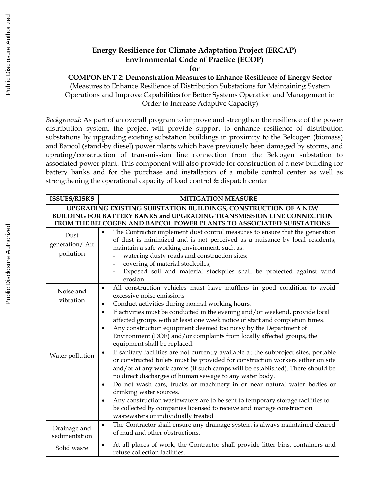## **Energy Resilience for Climate Adaptation Project (ERCAP) Environmental Code of Practice (ECOP)**

**for** 

**COMPONENT 2: Demonstration Measures to Enhance Resilience of Energy Sector**

(Measures to Enhance Resilience of Distribution Substations for Maintaining System Operations and Improve Capabilities for Better Systems Operation and Management in Order to Increase Adaptive Capacity)

*Background*: As part of an overall program to improve and strengthen the resilience of the power distribution system, the project will provide support to enhance resilience of distribution substations by upgrading existing substation buildings in proximity to the Belcogen (biomass) and Bapcol (stand-by diesel) power plants which have previously been damaged by storms, and uprating/construction of transmission line connection from the Belcogen substation to associated power plant. This component will also provide for construction of a new building for battery banks and for the purchase and installation of a mobile control center as well as strengthening the operational capacity of load control & dispatch center

| <b>ISSUES/RISKS</b>                  | <b>MITIGATION MEASURE</b>                                                                                                                                                                                                                                                                                                                                                                                                                                                                                                                                                                                                                              |
|--------------------------------------|--------------------------------------------------------------------------------------------------------------------------------------------------------------------------------------------------------------------------------------------------------------------------------------------------------------------------------------------------------------------------------------------------------------------------------------------------------------------------------------------------------------------------------------------------------------------------------------------------------------------------------------------------------|
|                                      | UPGRADING EXISTING SUBSTATION BUILDINGS, CONSTRUCTION OF A NEW<br>BUILDING FOR BATTERY BANKS and UPGRADING TRANSMISSION LINE CONNECTION<br>FROM THE BELCOGEN AND BAPCOL POWER PLANTS TO ASSOCIATED SUBSTATIONS                                                                                                                                                                                                                                                                                                                                                                                                                                         |
| Dust<br>generation/ Air<br>pollution | The Contractor implement dust control measures to ensure that the generation<br>$\bullet$<br>of dust is minimized and is not perceived as a nuisance by local residents,<br>maintain a safe working environment, such as:<br>watering dusty roads and construction sites;<br>covering of material stockpiles;<br>Exposed soil and material stockpiles shall be protected against wind<br>$\blacksquare$<br>erosion.                                                                                                                                                                                                                                    |
| Noise and<br>vibration               | All construction vehicles must have mufflers in good condition to avoid<br>$\bullet$<br>excessive noise emissions<br>Conduct activities during normal working hours.<br>$\bullet$<br>If activities must be conducted in the evening and/or weekend, provide local<br>$\bullet$<br>affected groups with at least one week notice of start and completion times.<br>Any construction equipment deemed too noisy by the Department of<br>$\bullet$<br>Environment (DOE) and/or complaints from locally affected groups, the<br>equipment shall be replaced.                                                                                               |
| Water pollution                      | If sanitary facilities are not currently available at the subproject sites, portable<br>$\bullet$<br>or constructed toilets must be provided for construction workers either on site<br>and/or at any work camps (if such camps will be established). There should be<br>no direct discharges of human sewage to any water body.<br>Do not wash cars, trucks or machinery in or near natural water bodies or<br>$\bullet$<br>drinking water sources.<br>Any construction wastewaters are to be sent to temporary storage facilities to<br>be collected by companies licensed to receive and manage construction<br>wastewaters or individually treated |
| Drainage and<br>sedimentation        | The Contractor shall ensure any drainage system is always maintained cleared<br>$\bullet$<br>of mud and other obstructions.                                                                                                                                                                                                                                                                                                                                                                                                                                                                                                                            |
| Solid waste                          | At all places of work, the Contractor shall provide litter bins, containers and<br>$\bullet$<br>refuse collection facilities.                                                                                                                                                                                                                                                                                                                                                                                                                                                                                                                          |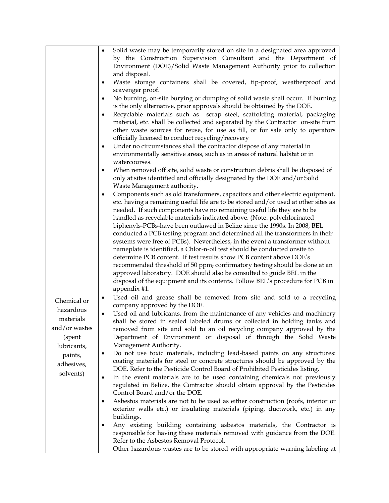|               | Solid waste may be temporarily stored on site in a designated area approved<br>$\bullet$      |
|---------------|-----------------------------------------------------------------------------------------------|
|               |                                                                                               |
|               | by the Construction Supervision Consultant and the Department of                              |
|               | Environment (DOE)/Solid Waste Management Authority prior to collection                        |
|               | and disposal.                                                                                 |
|               | Waste storage containers shall be covered, tip-proof, weatherproof and<br>٠                   |
|               | scavenger proof.                                                                              |
|               | No burning, on-site burying or dumping of solid waste shall occur. If burning<br>٠            |
|               | is the only alternative, prior approvals should be obtained by the DOE.                       |
|               | Recyclable materials such as scrap steel, scaffolding material, packaging<br>٠                |
|               | material, etc. shall be collected and separated by the Contractor on-site from                |
|               | other waste sources for reuse, for use as fill, or for sale only to operators                 |
|               | officially licensed to conduct recycling/recovery                                             |
|               | Under no circumstances shall the contractor dispose of any material in<br>$\bullet$           |
|               |                                                                                               |
|               | environmentally sensitive areas, such as in areas of natural habitat or in                    |
|               | watercourses.                                                                                 |
|               | When removed off site, solid waste or construction debris shall be disposed of<br>٠           |
|               | only at sites identified and officially designated by the DOE and/or Solid                    |
|               | Waste Management authority.                                                                   |
|               | Components such as old transformers, capacitors and other electric equipment,<br>٠            |
|               | etc. having a remaining useful life are to be stored and/or used at other sites as            |
|               | needed. If such components have no remaining useful life they are to be                       |
|               | handled as recyclable materials indicated above. (Note: polychlorinated                       |
|               | biphenyls-PCBs-have been outlawed in Belize since the 1990s. In 2008, BEL                     |
|               | conducted a PCB testing program and determined all the transformers in their                  |
|               | systems were free of PCBs). Nevertheless, in the event a transformer without                  |
|               | nameplate is identified, a Chlor-n-oil test should be conducted onsite to                     |
|               | determine PCB content. If test results show PCB content above DOE's                           |
|               | recommended threshold of 50 ppm, confirmatory testing should be done at an                    |
|               | approved laboratory. DOE should also be consulted to guide BEL in the                         |
|               | disposal of the equipment and its contents. Follow BEL's procedure for PCB in                 |
|               | appendix #1.                                                                                  |
|               | Used oil and grease shall be removed from site and sold to a recycling<br>$\bullet$           |
| Chemical or   | company approved by the DOE.                                                                  |
| hazardous     | Used oil and lubricants, from the maintenance of any vehicles and machinery<br>$\bullet$      |
| materials     | shall be stored in sealed labeled drums or collected in holding tanks and                     |
| and/or wastes |                                                                                               |
|               | removed from site and sold to an oil recycling company approved by the                        |
| (spent        | Department of Environment or disposal of through the Solid Waste                              |
| lubricants,   | Management Authority.                                                                         |
| paints,       | Do not use toxic materials, including lead-based paints on any structures:<br>$\bullet$       |
| adhesives,    | coating materials for steel or concrete structures should be approved by the                  |
| solvents)     | DOE. Refer to the Pesticide Control Board of Prohibited Pesticides listing.                   |
|               | In the event materials are to be used containing chemicals not previously<br>$\bullet$        |
|               | regulated in Belize, the Contractor should obtain approval by the Pesticides                  |
|               | Control Board and/or the DOE.                                                                 |
|               | Asbestos materials are not to be used as either construction (roofs, interior or<br>$\bullet$ |
|               | exterior walls etc.) or insulating materials (piping, ductwork, etc.) in any                  |
|               | buildings.                                                                                    |
|               | Any existing building containing asbestos materials, the Contractor is<br>٠                   |
|               | responsible for having these materials removed with guidance from the DOE.                    |
|               | Refer to the Asbestos Removal Protocol.                                                       |
|               | Other hazardous wastes are to be stored with appropriate warning labeling at                  |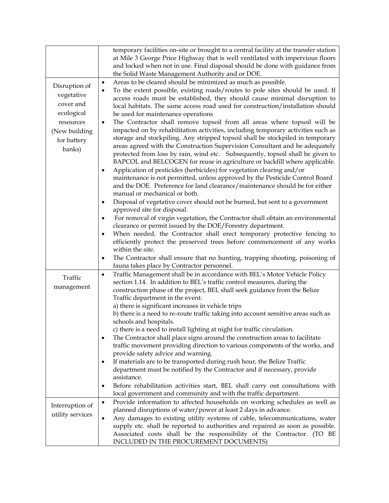|                                                                                                               | temporary facilities on-site or brought to a central facility at the transfer station<br>at Mile 3 George Price Highway that is well ventilated with impervious floors<br>and locked when not in use. Final disposal should be done with guidance from<br>the Solid Waste Management Authority and or DOE.                                                                                                                                                                                                                                                                                                                                                                                                                                                                                                                                                                                                                                                                                                                                                                                                                                                                                                                                                                                                                                                                                                                                        |
|---------------------------------------------------------------------------------------------------------------|---------------------------------------------------------------------------------------------------------------------------------------------------------------------------------------------------------------------------------------------------------------------------------------------------------------------------------------------------------------------------------------------------------------------------------------------------------------------------------------------------------------------------------------------------------------------------------------------------------------------------------------------------------------------------------------------------------------------------------------------------------------------------------------------------------------------------------------------------------------------------------------------------------------------------------------------------------------------------------------------------------------------------------------------------------------------------------------------------------------------------------------------------------------------------------------------------------------------------------------------------------------------------------------------------------------------------------------------------------------------------------------------------------------------------------------------------|
| Disruption of<br>vegetative<br>cover and<br>ecological<br>resources<br>(New building<br>for battery<br>banks) | Areas to be cleared should be minimized as much as possible.<br>$\bullet$<br>To the extent possible, existing roads/routes to pole sites should be used. If<br>٠<br>access roads must be established, they should cause minimal disruption to<br>local habitats. The same access road used for construction/installation should<br>be used for maintenance operations<br>The Contractor shall remove topsoil from all areas where topsoil will be<br>$\bullet$<br>impacted on by rehabilitation activities, including temporary activities such as<br>storage and stockpiling. Any stripped topsoil shall be stockpiled in temporary<br>areas agreed with the Construction Supervision Consultant and be adequately<br>protected from loss by rain, wind etc. Subsequently, topsoil shall be given to<br>BAPCOL and BELCOGEN for reuse in agriculture or backfill where applicable.<br>Application of pesticides (herbicides) for vegetation clearing and/or<br>٠<br>maintenance is not permitted, unless approved by the Pesticide Control Board<br>and the DOE. Preference for land clearance/maintenance should be for either<br>manual or mechanical or both.<br>Disposal of vegetative cover should not be burned, but sent to a government<br>٠<br>approved site for disposal.<br>For removal of virgin vegetation, the Contractor shall obtain an environmental<br>$\bullet$<br>clearance or permit issued by the DOE/Forestry department. |
|                                                                                                               | When needed, the Contractor shall erect temporary protective fencing to<br>$\bullet$<br>efficiently protect the preserved trees before commencement of any works                                                                                                                                                                                                                                                                                                                                                                                                                                                                                                                                                                                                                                                                                                                                                                                                                                                                                                                                                                                                                                                                                                                                                                                                                                                                                  |
|                                                                                                               | within the site.<br>The Contractor shall ensure that no hunting, trapping shooting, poisoning of<br>٠<br>fauna takes place by Contractor personnel.                                                                                                                                                                                                                                                                                                                                                                                                                                                                                                                                                                                                                                                                                                                                                                                                                                                                                                                                                                                                                                                                                                                                                                                                                                                                                               |
| Traffic<br>management                                                                                         | Traffic Management shall be in accordance with BEL's Motor Vehicle Policy<br>$\bullet$<br>section 1.14. In addition to BEL's traffic control measures, during the<br>construction phase of the project, BEL shall seek guidance from the Belize<br>Traffic department in the event:<br>a) there is significant increases in vehicle trips<br>b) there is a need to re-route traffic taking into account sensitive areas such as<br>schools and hospitals.<br>c) there is a need to install lighting at night for traffic circulation.<br>The Contractor shall place signs around the construction areas to facilitate<br>٠<br>traffic movement providing direction to various components of the works, and<br>provide safety advice and warning.<br>If materials are to be transported during rush hour, the Belize Traffic<br>٠<br>department must be notified by the Contractor and if necessary, provide<br>assistance.<br>Before rehabilitation activities start, BEL shall carry out consultations with<br>٠<br>local government and community and with the traffic department.                                                                                                                                                                                                                                                                                                                                                              |
| Interruption of<br>utility services                                                                           | Provide information to affected households on working schedules as well as<br>$\bullet$<br>planned disruptions of water/power at least 2 days in advance.<br>Any damages to existing utility systems of cable, telecommunications, water<br>٠<br>supply etc. shall be reported to authorities and repaired as soon as possible.<br>Associated costs shall be the responsibility of the Contractor. (TO BE<br>INCLUDED IN THE PROCUREMENT DOCUMENTS)                                                                                                                                                                                                                                                                                                                                                                                                                                                                                                                                                                                                                                                                                                                                                                                                                                                                                                                                                                                               |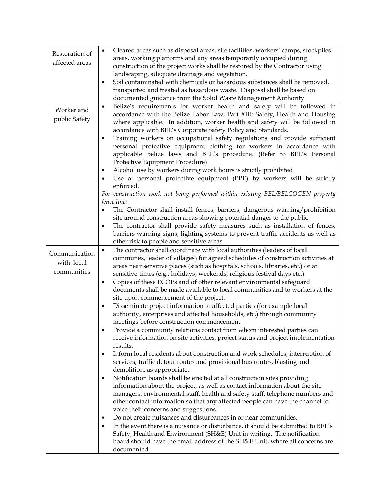| Restoration of | Cleared areas such as disposal areas, site facilities, workers' camps, stockpiles<br>$\bullet$                                                          |
|----------------|---------------------------------------------------------------------------------------------------------------------------------------------------------|
|                | areas, working platforms and any areas temporarily occupied during                                                                                      |
| affected areas | construction of the project works shall be restored by the Contractor using                                                                             |
|                | landscaping, adequate drainage and vegetation.                                                                                                          |
|                | Soil contaminated with chemicals or hazardous substances shall be removed,<br>$\bullet$                                                                 |
|                | transported and treated as hazardous waste. Disposal shall be based on                                                                                  |
|                | documented guidance from the Solid Waste Management Authority.                                                                                          |
|                | Belize's requirements for worker health and safety will be followed in<br>$\bullet$                                                                     |
| Worker and     | accordance with the Belize Labor Law, Part XIII: Safety, Health and Housing                                                                             |
| public Safety  | where applicable. In addition, worker health and safety will be followed in                                                                             |
|                | accordance with BEL's Corporate Safety Policy and Standards.                                                                                            |
|                | Training workers on occupational safety regulations and provide sufficient<br>٠                                                                         |
|                | personal protective equipment clothing for workers in accordance with                                                                                   |
|                | applicable Belize laws and BEL's procedure. (Refer to BEL's Personal                                                                                    |
|                | Protective Equipment Procedure)                                                                                                                         |
|                | Alcohol use by workers during work hours is strictly prohibited                                                                                         |
|                | Use of personal protective equipment (PPE) by workers will be strictly                                                                                  |
|                | enforced.                                                                                                                                               |
|                | For construction work not being performed within existing BEL/BELCOGEN property                                                                         |
|                | fence line:                                                                                                                                             |
|                | The Contractor shall install fences, barriers, dangerous warning/prohibition                                                                            |
|                | site around construction areas showing potential danger to the public.                                                                                  |
|                | The contractor shall provide safety measures such as installation of fences,<br>$\bullet$                                                               |
|                | barriers warning signs, lighting systems to prevent traffic accidents as well as                                                                        |
|                | other risk to people and sensitive areas.                                                                                                               |
|                | The contractor shall coordinate with local authorities (leaders of local<br>$\bullet$                                                                   |
| Communication  | communes, leader of villages) for agreed schedules of construction activities at                                                                        |
| with local     | areas near sensitive places (such as hospitals, schools, libraries, etc.) or at                                                                         |
| communities    | sensitive times (e.g., holidays, weekends, religious festival days etc.).                                                                               |
|                | Copies of these ECOPs and of other relevant environmental safeguard<br>٠                                                                                |
|                | documents shall be made available to local communities and to workers at the                                                                            |
|                | site upon commencement of the project.                                                                                                                  |
|                | Disseminate project information to affected parties (for example local<br>$\bullet$                                                                     |
|                | authority, enterprises and affected households, etc.) through community                                                                                 |
|                | meetings before construction commencement.                                                                                                              |
|                | Provide a community relations contact from whom interested parties can                                                                                  |
|                | receive information on site activities, project status and project implementation                                                                       |
|                | results.                                                                                                                                                |
|                | Inform local residents about construction and work schedules, interruption of<br>٠                                                                      |
|                | services, traffic detour routes and provisional bus routes, blasting and                                                                                |
|                | demolition, as appropriate.                                                                                                                             |
|                | Notification boards shall be erected at all construction sites providing<br>٠                                                                           |
|                | information about the project, as well as contact information about the site                                                                            |
|                | managers, environmental staff, health and safety staff, telephone numbers and                                                                           |
|                | other contact information so that any affected people can have the channel to                                                                           |
|                | voice their concerns and suggestions.                                                                                                                   |
|                | Do not create nuisances and disturbances in or near communities.<br>٠                                                                                   |
|                | In the event there is a nuisance or disturbance, it should be submitted to BEL's                                                                        |
|                |                                                                                                                                                         |
|                | Safety, Health and Environment (SH&E) Unit in writing. The notification<br>board should have the email address of the SH&E Unit, where all concerns are |
|                | documented.                                                                                                                                             |
|                |                                                                                                                                                         |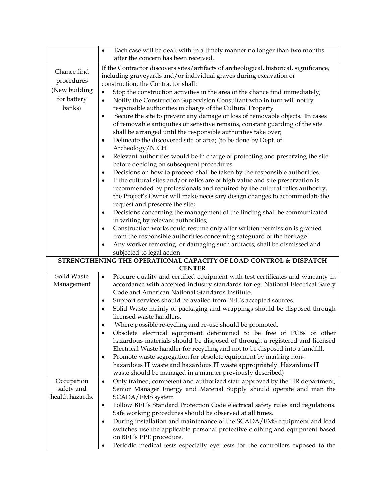|                 | Each case will be dealt with in a timely manner no longer than two months<br>$\bullet$                                                  |
|-----------------|-----------------------------------------------------------------------------------------------------------------------------------------|
|                 | after the concern has been received.                                                                                                    |
| Chance find     | If the Contractor discovers sites/artifacts of archeological, historical, significance,                                                 |
| procedures      | including graveyards and/or individual graves during excavation or                                                                      |
|                 | construction, the Contractor shall:                                                                                                     |
| (New building   | Stop the construction activities in the area of the chance find immediately;<br>$\bullet$                                               |
| for battery     | Notify the Construction Supervision Consultant who in turn will notify<br>$\bullet$                                                     |
| banks)          | responsible authorities in charge of the Cultural Property                                                                              |
|                 | Secure the site to prevent any damage or loss of removable objects. In cases<br>٠                                                       |
|                 | of removable antiquities or sensitive remains, constant guarding of the site                                                            |
|                 | shall be arranged until the responsible authorities take over;                                                                          |
|                 | Delineate the discovered site or area; (to be done by Dept. of<br>٠                                                                     |
|                 | Archeology/NICH                                                                                                                         |
|                 | Relevant authorities would be in charge of protecting and preserving the site<br>$\bullet$<br>before deciding on subsequent procedures. |
|                 | Decisions on how to proceed shall be taken by the responsible authorities.<br>٠                                                         |
|                 | If the cultural sites and/or relics are of high value and site preservation is<br>$\bullet$                                             |
|                 | recommended by professionals and required by the cultural relics authority,                                                             |
|                 | the Project's Owner will make necessary design changes to accommodate the                                                               |
|                 | request and preserve the site;                                                                                                          |
|                 | Decisions concerning the management of the finding shall be communicated<br>٠                                                           |
|                 | in writing by relevant authorities;                                                                                                     |
|                 | Construction works could resume only after written permission is granted                                                                |
|                 | from the responsible authorities concerning safeguard of the heritage.                                                                  |
|                 | Any worker removing or damaging such artifacts, shall be dismissed and                                                                  |
|                 | subjected to legal action                                                                                                               |
|                 | STRENGTHENING THE OPERATIONAL CAPACITY OF LOAD CONTROL & DISPATCH                                                                       |
| Solid Waste     | <b>CENTER</b><br>Procure quality and certified equipment with test certificates and warranty in<br>$\bullet$                            |
| Management      | accordance with accepted industry standards for eg. National Electrical Safety                                                          |
|                 | Code and American National Standards Institute.                                                                                         |
|                 | Support services should be availed from BEL's accepted sources.                                                                         |
|                 | Solid Waste mainly of packaging and wrappings should be disposed through                                                                |
|                 | licensed waste handlers.                                                                                                                |
|                 | Where possible re-cycling and re-use should be promoted.                                                                                |
|                 | Obsolete electrical equipment determined to be free of PCBs or other                                                                    |
|                 | hazardous materials should be disposed of through a registered and licensed                                                             |
|                 | Electrical Waste handler for recycling and not to be disposed into a landfill.                                                          |
|                 | Promote waste segregation for obsolete equipment by marking non-<br>٠                                                                   |
|                 | hazardous IT waste and hazardous IT waste appropriately. Hazardous IT                                                                   |
|                 | waste should be managed in a manner previously described)                                                                               |
| Occupation      | Only trained, competent and authorized staff approved by the HR department,<br>$\bullet$                                                |
| safety and      | Senior Manager Energy and Material Supply should operate and man the                                                                    |
| health hazards. | SCADA/EMS system                                                                                                                        |
|                 | Follow BEL's Standard Protection Code electrical safety rules and regulations.<br>$\bullet$                                             |
|                 | Safe working procedures should be observed at all times.                                                                                |
|                 | During installation and maintenance of the SCADA/EMS equipment and load                                                                 |
|                 | switches use the applicable personal protective clothing and equipment based                                                            |
|                 | on BEL's PPE procedure.                                                                                                                 |
|                 | Periodic medical tests especially eye tests for the controllers exposed to the                                                          |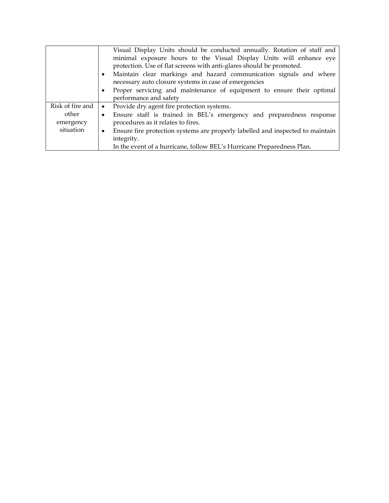|                  | Visual Display Units should be conducted annually. Rotation of staff and            |
|------------------|-------------------------------------------------------------------------------------|
|                  | minimal exposure hours to the Visual Display Units will enhance eye                 |
|                  | protection. Use of flat screens with anti-glares should be promoted.                |
|                  | Maintain clear markings and hazard communication signals and where<br>$\bullet$     |
|                  | necessary auto closure systems in case of emergencies                               |
|                  | Proper servicing and maintenance of equipment to ensure their optimal<br>٠          |
|                  | performance and safety                                                              |
| Risk of fire and | Provide dry agent fire protection systems.<br>$\bullet$                             |
| other            | Ensure staff is trained in BEL's emergency and preparedness response<br>٠           |
| emergency        | procedures as it relates to fires.                                                  |
| situation        | Ensure fire protection systems are properly labelled and inspected to maintain<br>٠ |
|                  | integrity.                                                                          |
|                  | In the event of a hurricane, follow BEL's Hurricane Preparedness Plan.              |